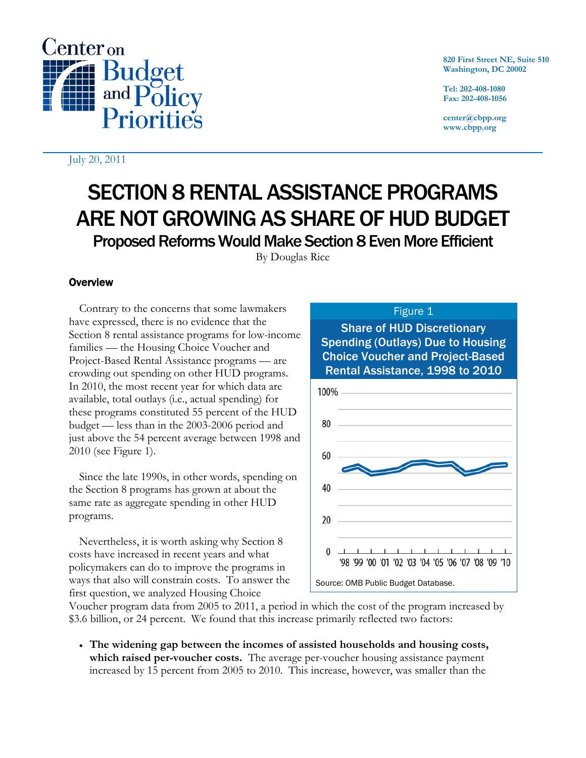

July 20, 2011

**820 First Street NE, Suite 510 Washington, DC 20002** 

**Tel: 202-408-1080 Fax: 202-408-1056** 

**center@cbpp.org www.cbpp.org** 

# SECTION 8 RENTAL ASSISTANCE PROGRAMS ARE NOT GROWING AS SHARE OF HUD BUDGET

Proposed Reforms Would Make Section 8 Even More Efficient

By Douglas Rice

# **Overview**

Contrary to the concerns that some lawmakers have expressed, there is no evidence that the Section 8 rental assistance programs for low-income families — the Housing Choice Voucher and Project-Based Rental Assistance programs — are crowding out spending on other HUD programs. In 2010, the most recent year for which data are available, total outlays (i.e., actual spending) for these programs constituted 55 percent of the HUD budget — less than in the 2003-2006 period and just above the 54 percent average between 1998 and 2010 (see Figure 1).

Since the late 1990s, in other words, spending on the Section 8 programs has grown at about the same rate as aggregate spending in other HUD programs.

Nevertheless, it is worth asking why Section 8 costs have increased in recent years and what policymakers can do to improve the programs in ways that also will constrain costs. To answer the first question, we analyzed Housing Choice

# Figure 1

Share of HUD Discretionary Spending (Outlays) Due to Housing Choice Voucher and Project-Based Rental Assistance, 1998 to 2010



Voucher program data from 2005 to 2011, a period in which the cost of the program increased by \$3.6 billion, or 24 percent. We found that this increase primarily reflected two factors:

 **The widening gap between the incomes of assisted households and housing costs, which raised per-voucher costs.** The average per-voucher housing assistance payment increased by 15 percent from 2005 to 2010. This increase, however, was smaller than the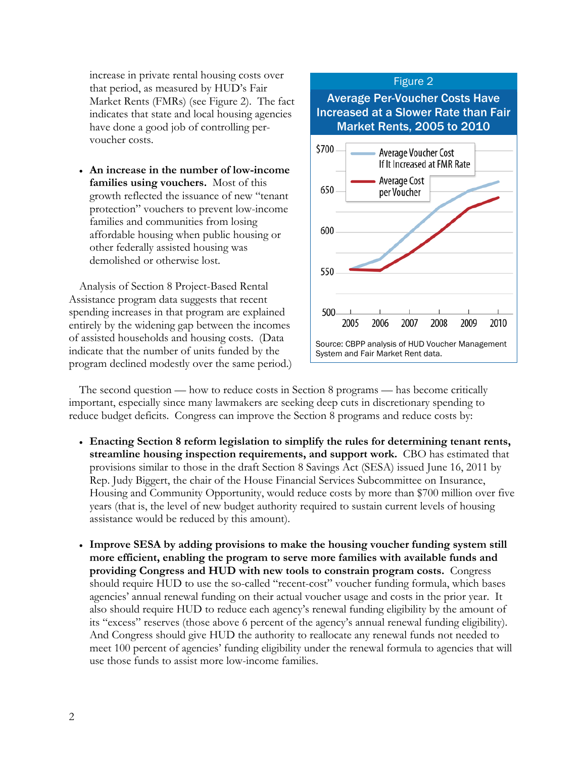increase in private rental housing costs over that period, as measured by HUD's Fair Market Rents (FMRs) (see Figure 2). The fact indicates that state and local housing agencies have done a good job of controlling pervoucher costs.

 **An increase in the number of low-income families using vouchers.** Most of this growth reflected the issuance of new "tenant protection" vouchers to prevent low-income families and communities from losing affordable housing when public housing or other federally assisted housing was demolished or otherwise lost.

Analysis of Section 8 Project-Based Rental Assistance program data suggests that recent spending increases in that program are explained entirely by the widening gap between the incomes of assisted households and housing costs. (Data indicate that the number of units funded by the program declined modestly over the same period.)



The second question — how to reduce costs in Section 8 programs — has become critically important, especially since many lawmakers are seeking deep cuts in discretionary spending to reduce budget deficits. Congress can improve the Section 8 programs and reduce costs by:

- **Enacting Section 8 reform legislation to simplify the rules for determining tenant rents, streamline housing inspection requirements, and support work.** CBO has estimated that provisions similar to those in the draft Section 8 Savings Act (SESA) issued June 16, 2011 by Rep. Judy Biggert, the chair of the House Financial Services Subcommittee on Insurance, Housing and Community Opportunity, would reduce costs by more than \$700 million over five years (that is, the level of new budget authority required to sustain current levels of housing assistance would be reduced by this amount).
- **Improve SESA by adding provisions to make the housing voucher funding system still more efficient, enabling the program to serve more families with available funds and providing Congress and HUD with new tools to constrain program costs.** Congress should require HUD to use the so-called "recent-cost" voucher funding formula, which bases agencies' annual renewal funding on their actual voucher usage and costs in the prior year. It also should require HUD to reduce each agency's renewal funding eligibility by the amount of its "excess" reserves (those above 6 percent of the agency's annual renewal funding eligibility). And Congress should give HUD the authority to reallocate any renewal funds not needed to meet 100 percent of agencies' funding eligibility under the renewal formula to agencies that will use those funds to assist more low-income families.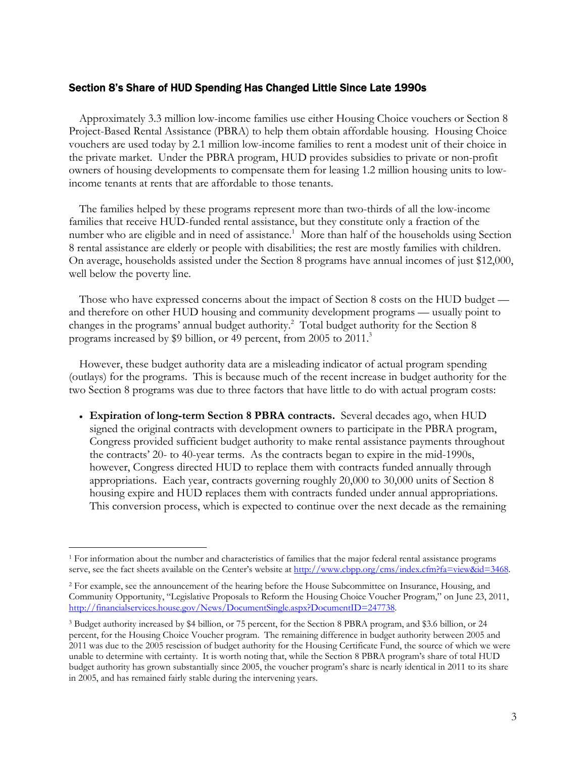#### Section 8's Share of HUD Spending Has Changed Little Since Late 1990s

Approximately 3.3 million low-income families use either Housing Choice vouchers or Section 8 Project-Based Rental Assistance (PBRA) to help them obtain affordable housing. Housing Choice vouchers are used today by 2.1 million low-income families to rent a modest unit of their choice in the private market. Under the PBRA program, HUD provides subsidies to private or non-profit owners of housing developments to compensate them for leasing 1.2 million housing units to lowincome tenants at rents that are affordable to those tenants.

The families helped by these programs represent more than two-thirds of all the low-income families that receive HUD-funded rental assistance, but they constitute only a fraction of the number who are eligible and in need of assistance.<sup>1</sup> More than half of the households using Section 8 rental assistance are elderly or people with disabilities; the rest are mostly families with children. On average, households assisted under the Section 8 programs have annual incomes of just \$12,000, well below the poverty line.

Those who have expressed concerns about the impact of Section 8 costs on the HUD budget and therefore on other HUD housing and community development programs — usually point to changes in the programs' annual budget authority.<sup>2</sup> Total budget authority for the Section 8 programs increased by \$9 billion, or 49 percent, from 2005 to 2011.<sup>3</sup>

However, these budget authority data are a misleading indicator of actual program spending (outlays) for the programs. This is because much of the recent increase in budget authority for the two Section 8 programs was due to three factors that have little to do with actual program costs:

 **Expiration of long-term Section 8 PBRA contracts.** Several decades ago, when HUD signed the original contracts with development owners to participate in the PBRA program, Congress provided sufficient budget authority to make rental assistance payments throughout the contracts' 20- to 40-year terms. As the contracts began to expire in the mid-1990s, however, Congress directed HUD to replace them with contracts funded annually through appropriations. Each year, contracts governing roughly 20,000 to 30,000 units of Section 8 housing expire and HUD replaces them with contracts funded under annual appropriations. This conversion process, which is expected to continue over the next decade as the remaining

<sup>-</sup> $1$  For information about the number and characteristics of families that the major federal rental assistance programs serve, see the fact sheets available on the Center's website at http://www.cbpp.org/cms/index.cfm?fa=view&id=3468.

<sup>&</sup>lt;sup>2</sup> For example, see the announcement of the hearing before the House Subcommittee on Insurance, Housing, and Community Opportunity, "Legislative Proposals to Reform the Housing Choice Voucher Program," on June 23, 2011, http://financialservices.house.gov/News/DocumentSingle.aspx?DocumentID=247738.

<sup>3</sup> Budget authority increased by \$4 billion, or 75 percent, for the Section 8 PBRA program, and \$3.6 billion, or 24 percent, for the Housing Choice Voucher program. The remaining difference in budget authority between 2005 and 2011 was due to the 2005 rescission of budget authority for the Housing Certificate Fund, the source of which we were unable to determine with certainty. It is worth noting that, while the Section 8 PBRA program's share of total HUD budget authority has grown substantially since 2005, the voucher program's share is nearly identical in 2011 to its share in 2005, and has remained fairly stable during the intervening years.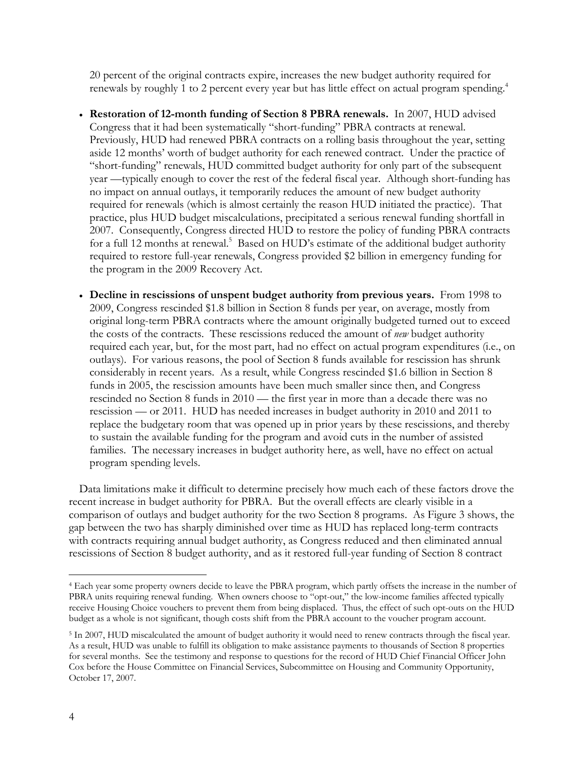20 percent of the original contracts expire, increases the new budget authority required for renewals by roughly 1 to 2 percent every year but has little effect on actual program spending.<sup>4</sup>

- **Restoration of 12-month funding of Section 8 PBRA renewals.** In 2007, HUD advised Congress that it had been systematically "short-funding" PBRA contracts at renewal. Previously, HUD had renewed PBRA contracts on a rolling basis throughout the year, setting aside 12 months' worth of budget authority for each renewed contract. Under the practice of "short-funding" renewals, HUD committed budget authority for only part of the subsequent year —typically enough to cover the rest of the federal fiscal year. Although short-funding has no impact on annual outlays, it temporarily reduces the amount of new budget authority required for renewals (which is almost certainly the reason HUD initiated the practice). That practice, plus HUD budget miscalculations, precipitated a serious renewal funding shortfall in 2007. Consequently, Congress directed HUD to restore the policy of funding PBRA contracts for a full 12 months at renewal.<sup>5</sup> Based on HUD's estimate of the additional budget authority required to restore full-year renewals, Congress provided \$2 billion in emergency funding for the program in the 2009 Recovery Act.
- **Decline in rescissions of unspent budget authority from previous years.** From 1998 to 2009, Congress rescinded \$1.8 billion in Section 8 funds per year, on average, mostly from original long-term PBRA contracts where the amount originally budgeted turned out to exceed the costs of the contracts. These rescissions reduced the amount of *new* budget authority required each year, but, for the most part, had no effect on actual program expenditures (i.e., on outlays). For various reasons, the pool of Section 8 funds available for rescission has shrunk considerably in recent years. As a result, while Congress rescinded \$1.6 billion in Section 8 funds in 2005, the rescission amounts have been much smaller since then, and Congress rescinded no Section 8 funds in 2010 — the first year in more than a decade there was no rescission — or 2011. HUD has needed increases in budget authority in 2010 and 2011 to replace the budgetary room that was opened up in prior years by these rescissions, and thereby to sustain the available funding for the program and avoid cuts in the number of assisted families. The necessary increases in budget authority here, as well, have no effect on actual program spending levels.

Data limitations make it difficult to determine precisely how much each of these factors drove the recent increase in budget authority for PBRA. But the overall effects are clearly visible in a comparison of outlays and budget authority for the two Section 8 programs. As Figure 3 shows, the gap between the two has sharply diminished over time as HUD has replaced long-term contracts with contracts requiring annual budget authority, as Congress reduced and then eliminated annual rescissions of Section 8 budget authority, and as it restored full-year funding of Section 8 contract

-

<sup>4</sup> Each year some property owners decide to leave the PBRA program, which partly offsets the increase in the number of PBRA units requiring renewal funding. When owners choose to "opt-out," the low-income families affected typically receive Housing Choice vouchers to prevent them from being displaced. Thus, the effect of such opt-outs on the HUD budget as a whole is not significant, though costs shift from the PBRA account to the voucher program account.

<sup>&</sup>lt;sup>5</sup> In 2007, HUD miscalculated the amount of budget authority it would need to renew contracts through the fiscal year. As a result, HUD was unable to fulfill its obligation to make assistance payments to thousands of Section 8 properties for several months. See the testimony and response to questions for the record of HUD Chief Financial Officer John Cox before the House Committee on Financial Services, Subcommittee on Housing and Community Opportunity, October 17, 2007.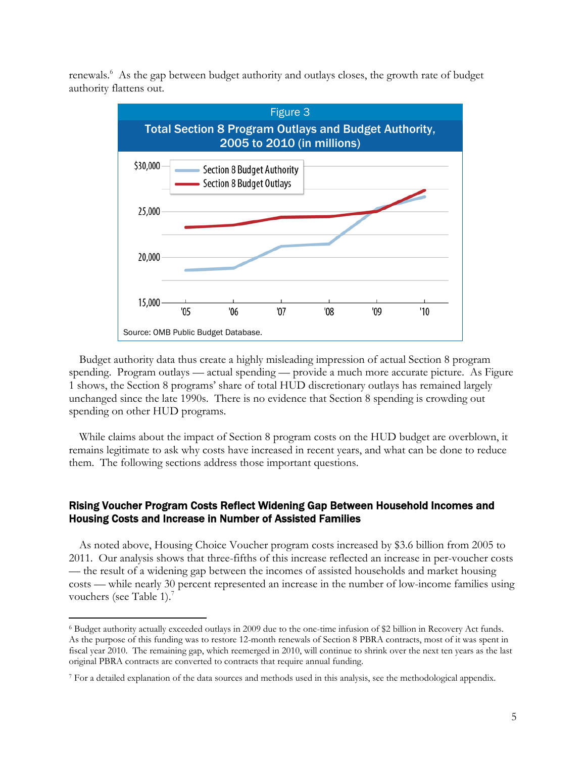renewals.<sup>6</sup> As the gap between budget authority and outlays closes, the growth rate of budget authority flattens out.



Budget authority data thus create a highly misleading impression of actual Section 8 program spending. Program outlays — actual spending — provide a much more accurate picture. As Figure 1 shows, the Section 8 programs' share of total HUD discretionary outlays has remained largely unchanged since the late 1990s. There is no evidence that Section 8 spending is crowding out spending on other HUD programs.

While claims about the impact of Section 8 program costs on the HUD budget are overblown, it remains legitimate to ask why costs have increased in recent years, and what can be done to reduce them. The following sections address those important questions.

# Rising Voucher Program Costs Reflect Widening Gap Between Household Incomes and Housing Costs and Increase in Number of Assisted Families

As noted above, Housing Choice Voucher program costs increased by \$3.6 billion from 2005 to 2011. Our analysis shows that three-fifths of this increase reflected an increase in per-voucher costs — the result of a widening gap between the incomes of assisted households and market housing costs — while nearly 30 percent represented an increase in the number of low-income families using vouchers (see Table 1).<sup>7</sup>

 $\overline{a}$ 

<sup>6</sup> Budget authority actually exceeded outlays in 2009 due to the one-time infusion of \$2 billion in Recovery Act funds. As the purpose of this funding was to restore 12-month renewals of Section 8 PBRA contracts, most of it was spent in fiscal year 2010. The remaining gap, which reemerged in 2010, will continue to shrink over the next ten years as the last original PBRA contracts are converted to contracts that require annual funding.

<sup>7</sup> For a detailed explanation of the data sources and methods used in this analysis, see the methodological appendix.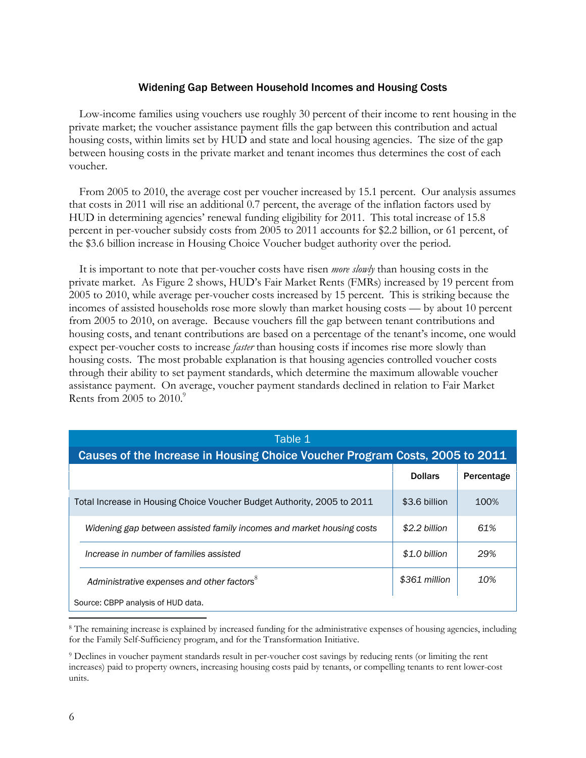#### Widening Gap Between Household Incomes and Housing Costs

Low-income families using vouchers use roughly 30 percent of their income to rent housing in the private market; the voucher assistance payment fills the gap between this contribution and actual housing costs, within limits set by HUD and state and local housing agencies. The size of the gap between housing costs in the private market and tenant incomes thus determines the cost of each voucher.

From 2005 to 2010, the average cost per voucher increased by 15.1 percent. Our analysis assumes that costs in 2011 will rise an additional 0.7 percent, the average of the inflation factors used by HUD in determining agencies' renewal funding eligibility for 2011. This total increase of 15.8 percent in per-voucher subsidy costs from 2005 to 2011 accounts for \$2.2 billion, or 61 percent, of the \$3.6 billion increase in Housing Choice Voucher budget authority over the period.

It is important to note that per-voucher costs have risen *more slowly* than housing costs in the private market. As Figure 2 shows, HUD's Fair Market Rents (FMRs) increased by 19 percent from 2005 to 2010, while average per-voucher costs increased by 15 percent. This is striking because the incomes of assisted households rose more slowly than market housing costs — by about 10 percent from 2005 to 2010, on average. Because vouchers fill the gap between tenant contributions and housing costs, and tenant contributions are based on a percentage of the tenant's income, one would expect per-voucher costs to increase *faster* than housing costs if incomes rise more slowly than housing costs. The most probable explanation is that housing agencies controlled voucher costs through their ability to set payment standards, which determine the maximum allowable voucher assistance payment. On average, voucher payment standards declined in relation to Fair Market Rents from 2005 to  $2010$ .<sup>9</sup>

| Table 1                                                                      |                |            |  |  |  |  |  |  |  |
|------------------------------------------------------------------------------|----------------|------------|--|--|--|--|--|--|--|
| Causes of the Increase in Housing Choice Voucher Program Costs, 2005 to 2011 |                |            |  |  |  |  |  |  |  |
|                                                                              | <b>Dollars</b> | Percentage |  |  |  |  |  |  |  |
| Total Increase in Housing Choice Voucher Budget Authority, 2005 to 2011      | \$3.6 billion  | 100%       |  |  |  |  |  |  |  |
| Widening gap between assisted family incomes and market housing costs        | \$2.2 billion  | 61%        |  |  |  |  |  |  |  |
| Increase in number of families assisted                                      | \$1.0 billion  | 29%        |  |  |  |  |  |  |  |
| Administrative expenses and other factors <sup>8</sup>                       | \$361 million  | 10%        |  |  |  |  |  |  |  |
| Source: CBPP analysis of HUD data.                                           |                |            |  |  |  |  |  |  |  |
|                                                                              |                |            |  |  |  |  |  |  |  |

8 The remaining increase is explained by increased funding for the administrative expenses of housing agencies, including for the Family Self-Sufficiency program, and for the Transformation Initiative.

9 Declines in voucher payment standards result in per-voucher cost savings by reducing rents (or limiting the rent increases) paid to property owners, increasing housing costs paid by tenants, or compelling tenants to rent lower-cost units.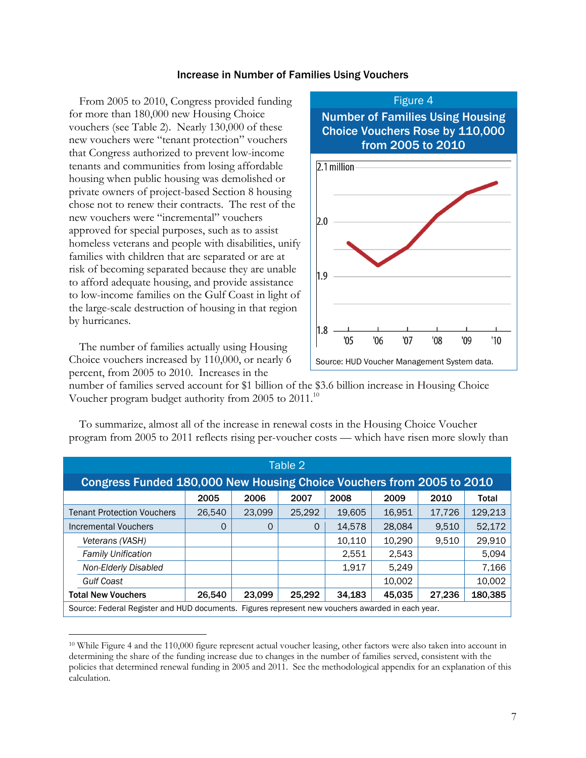#### Increase in Number of Families Using Vouchers

From 2005 to 2010, Congress provided funding for more than 180,000 new Housing Choice vouchers (see Table 2). Nearly 130,000 of these new vouchers were "tenant protection" vouchers that Congress authorized to prevent low-income tenants and communities from losing affordable housing when public housing was demolished or private owners of project-based Section 8 housing chose not to renew their contracts. The rest of the new vouchers were "incremental" vouchers approved for special purposes, such as to assist homeless veterans and people with disabilities, unify families with children that are separated or are at risk of becoming separated because they are unable to afford adequate housing, and provide assistance to low-income families on the Gulf Coast in light of the large-scale destruction of housing in that region by hurricanes.

The number of families actually using Housing Choice vouchers increased by 110,000, or nearly 6 percent, from 2005 to 2010. Increases in the

 $\overline{a}$ 



number of families served account for \$1 billion of the \$3.6 billion increase in Housing Choice Voucher program budget authority from 2005 to 2011.10

| Table 2                                                                                          |                                   |        |        |        |        |        |        |         |  |  |
|--------------------------------------------------------------------------------------------------|-----------------------------------|--------|--------|--------|--------|--------|--------|---------|--|--|
| Congress Funded 180,000 New Housing Choice Vouchers from 2005 to 2010                            |                                   |        |        |        |        |        |        |         |  |  |
|                                                                                                  |                                   | 2005   | 2006   | 2007   | 2008   | 2009   | 2010   | Total   |  |  |
|                                                                                                  | <b>Tenant Protection Vouchers</b> | 26,540 | 23,099 | 25,292 | 19,605 | 16,951 | 17,726 | 129.213 |  |  |
|                                                                                                  | Incremental Vouchers              | O      | 0      | 0      | 14,578 | 28,084 | 9,510  | 52,172  |  |  |
|                                                                                                  | Veterans (VASH)                   |        |        |        | 10.110 | 10.290 | 9.510  | 29,910  |  |  |
|                                                                                                  | <b>Family Unification</b>         |        |        |        | 2.551  | 2.543  |        | 5,094   |  |  |
|                                                                                                  | Non-Elderly Disabled              |        |        |        | 1,917  | 5.249  |        | 7.166   |  |  |
|                                                                                                  | <b>Gulf Coast</b>                 |        |        |        |        | 10,002 |        | 10,002  |  |  |
|                                                                                                  | <b>Total New Vouchers</b>         | 26,540 | 23,099 | 25.292 | 34,183 | 45,035 | 27,236 | 180,385 |  |  |
| Source: Federal Register and HUD documents. Figures represent new vouchers awarded in each year. |                                   |        |        |        |        |        |        |         |  |  |

To summarize, almost all of the increase in renewal costs in the Housing Choice Voucher program from 2005 to 2011 reflects rising per-voucher costs — which have risen more slowly than

<sup>&</sup>lt;sup>10</sup> While Figure 4 and the 110,000 figure represent actual voucher leasing, other factors were also taken into account in determining the share of the funding increase due to changes in the number of families served, consistent with the policies that determined renewal funding in 2005 and 2011. See the methodological appendix for an explanation of this calculation.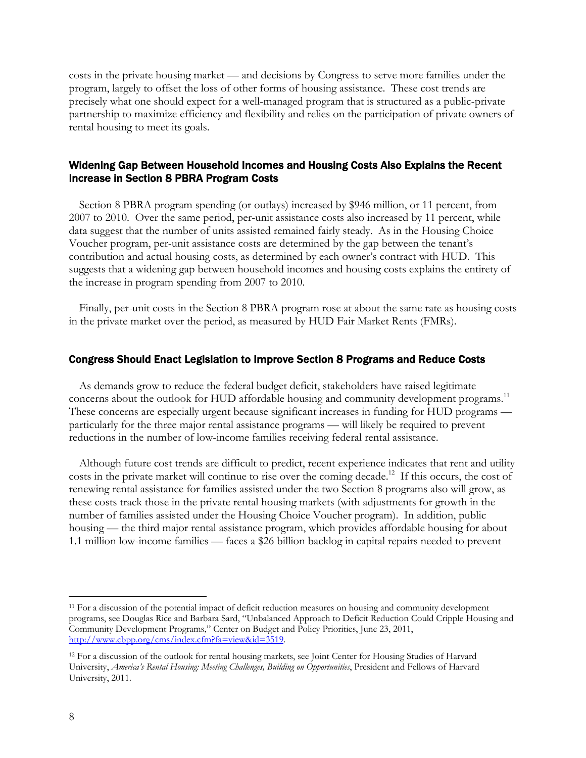costs in the private housing market — and decisions by Congress to serve more families under the program, largely to offset the loss of other forms of housing assistance. These cost trends are precisely what one should expect for a well-managed program that is structured as a public-private partnership to maximize efficiency and flexibility and relies on the participation of private owners of rental housing to meet its goals.

# Widening Gap Between Household Incomes and Housing Costs Also Explains the Recent Increase in Section 8 PBRA Program Costs

Section 8 PBRA program spending (or outlays) increased by \$946 million, or 11 percent, from 2007 to 2010. Over the same period, per-unit assistance costs also increased by 11 percent, while data suggest that the number of units assisted remained fairly steady. As in the Housing Choice Voucher program, per-unit assistance costs are determined by the gap between the tenant's contribution and actual housing costs, as determined by each owner's contract with HUD. This suggests that a widening gap between household incomes and housing costs explains the entirety of the increase in program spending from 2007 to 2010.

Finally, per-unit costs in the Section 8 PBRA program rose at about the same rate as housing costs in the private market over the period, as measured by HUD Fair Market Rents (FMRs).

#### Congress Should Enact Legislation to Improve Section 8 Programs and Reduce Costs

As demands grow to reduce the federal budget deficit, stakeholders have raised legitimate concerns about the outlook for HUD affordable housing and community development programs.<sup>11</sup> These concerns are especially urgent because significant increases in funding for HUD programs particularly for the three major rental assistance programs — will likely be required to prevent reductions in the number of low-income families receiving federal rental assistance.

Although future cost trends are difficult to predict, recent experience indicates that rent and utility costs in the private market will continue to rise over the coming decade.<sup>12</sup> If this occurs, the cost of renewing rental assistance for families assisted under the two Section 8 programs also will grow, as these costs track those in the private rental housing markets (with adjustments for growth in the number of families assisted under the Housing Choice Voucher program). In addition, public housing — the third major rental assistance program, which provides affordable housing for about 1.1 million low-income families — faces a \$26 billion backlog in capital repairs needed to prevent

 $\overline{a}$ 

<sup>&</sup>lt;sup>11</sup> For a discussion of the potential impact of deficit reduction measures on housing and community development programs, see Douglas Rice and Barbara Sard, "Unbalanced Approach to Deficit Reduction Could Cripple Housing and Community Development Programs," Center on Budget and Policy Priorities, June 23, 2011, http://www.cbpp.org/cms/index.cfm?fa=view&id=3519.

<sup>&</sup>lt;sup>12</sup> For a discussion of the outlook for rental housing markets, see Joint Center for Housing Studies of Harvard University, *America's Rental Housing: Meeting Challenges, Building on Opportunities*, President and Fellows of Harvard University, 2011.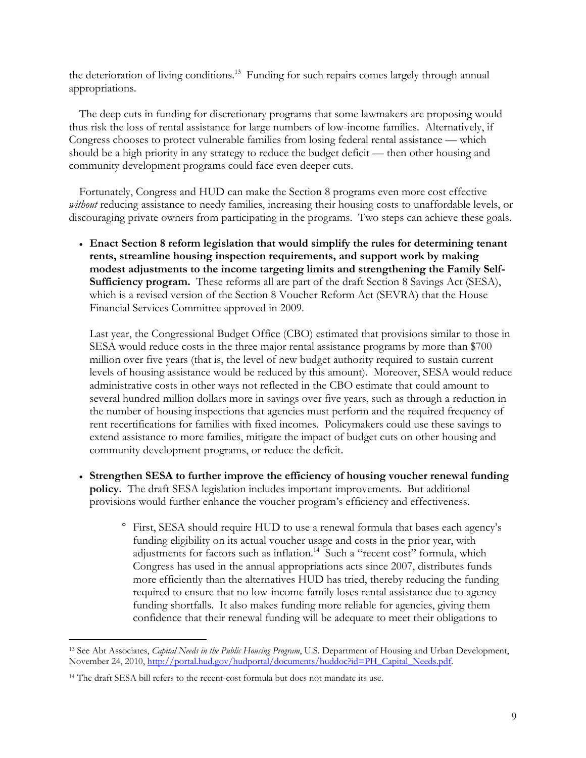the deterioration of living conditions.<sup>13</sup> Funding for such repairs comes largely through annual appropriations.

The deep cuts in funding for discretionary programs that some lawmakers are proposing would thus risk the loss of rental assistance for large numbers of low-income families. Alternatively, if Congress chooses to protect vulnerable families from losing federal rental assistance — which should be a high priority in any strategy to reduce the budget deficit — then other housing and community development programs could face even deeper cuts.

Fortunately, Congress and HUD can make the Section 8 programs even more cost effective *without* reducing assistance to needy families, increasing their housing costs to unaffordable levels, or discouraging private owners from participating in the programs. Two steps can achieve these goals.

 **Enact Section 8 reform legislation that would simplify the rules for determining tenant rents, streamline housing inspection requirements, and support work by making modest adjustments to the income targeting limits and strengthening the Family Self-Sufficiency program.** These reforms all are part of the draft Section 8 Savings Act (SESA), which is a revised version of the Section 8 Voucher Reform Act (SEVRA) that the House Financial Services Committee approved in 2009.

Last year, the Congressional Budget Office (CBO) estimated that provisions similar to those in SESA would reduce costs in the three major rental assistance programs by more than \$700 million over five years (that is, the level of new budget authority required to sustain current levels of housing assistance would be reduced by this amount). Moreover, SESA would reduce administrative costs in other ways not reflected in the CBO estimate that could amount to several hundred million dollars more in savings over five years, such as through a reduction in the number of housing inspections that agencies must perform and the required frequency of rent recertifications for families with fixed incomes. Policymakers could use these savings to extend assistance to more families, mitigate the impact of budget cuts on other housing and community development programs, or reduce the deficit.

- **Strengthen SESA to further improve the efficiency of housing voucher renewal funding policy.** The draft SESA legislation includes important improvements. But additional provisions would further enhance the voucher program's efficiency and effectiveness.
	- ° First, SESA should require HUD to use a renewal formula that bases each agency's funding eligibility on its actual voucher usage and costs in the prior year, with adjustments for factors such as inflation.<sup>14</sup> Such a "recent cost" formula, which Congress has used in the annual appropriations acts since 2007, distributes funds more efficiently than the alternatives HUD has tried, thereby reducing the funding required to ensure that no low-income family loses rental assistance due to agency funding shortfalls. It also makes funding more reliable for agencies, giving them confidence that their renewal funding will be adequate to meet their obligations to

 $\overline{a}$ 

<sup>13</sup> See Abt Associates, *Capital Needs in the Public Housing Program*, U.S. Department of Housing and Urban Development, November 24, 2010, http://portal.hud.gov/hudportal/documents/huddoc?id=PH\_Capital\_Needs.pdf.

<sup>&</sup>lt;sup>14</sup> The draft SESA bill refers to the recent-cost formula but does not mandate its use.